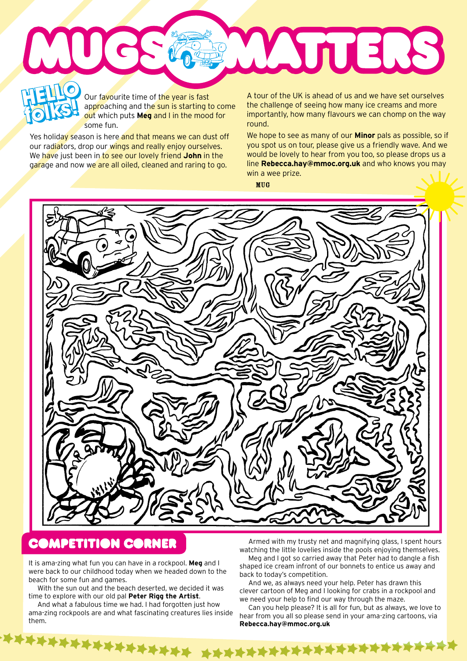WAJTERS **HELLO HELLO o** 

Our favourite time of the year is fast approaching and the sun is starting to come out which puts **Meg** and I in the mood for some fun.

Yes holiday season is here and that means we can dust off our radiators, drop our wings and really enjoy ourselves. We have just been in to see our lovely friend **John** in the garage and now we are all oiled, cleaned and raring to go.

**folks!**

**folks!**

A tour of the UK is ahead of us and we have set ourselves the challenge of seeing how many ice creams and more importantly, how many flavours we can chomp on the way round.

We hope to see as many of our **Minor** pals as possible, so if you spot us on tour, please give us a friendly wave. And we would be lovely to hear from you too, so please drops us a line **Rebecca.hay@mmoc.org.uk** and who knows you may win a wee prize.

MUG



## **COMPETITION CORNER**

It is ama-zing what fun you can have in a rockpool. **Meg** and I were back to our childhood today when we headed down to the beach for some fun and games.

With the sun out and the beach deserted, we decided it was time to explore with our old pal **Peter Rigg the Artist**.

\*\*\*\*\*\*\*\*\*\*\*\*

And what a fabulous time we had. I had forgotten just how ama-zing rockpools are and what fascinating creatures lies inside them.

Armed with my trusty net and magnifying glass, I spent hours watching the little lovelies inside the pools enjoying themselves.

Meg and I got so carried away that Peter had to dangle a fish shaped ice cream infront of our bonnets to entice us away and back to today's competition.

And we, as always need your help. Peter has drawn this clever cartoon of Meg and I looking for crabs in a rockpool and we need your help to find our way through the maze.

Can you help please? It is all for fun, but as always, we love to hear from you all so please send in your ama-zing cartoons, via **Rebecca.hay@mmoc.org.uk**

\*\*\*\*\*\*\*\*\*\*\*\*\*\*\*\*\*\*